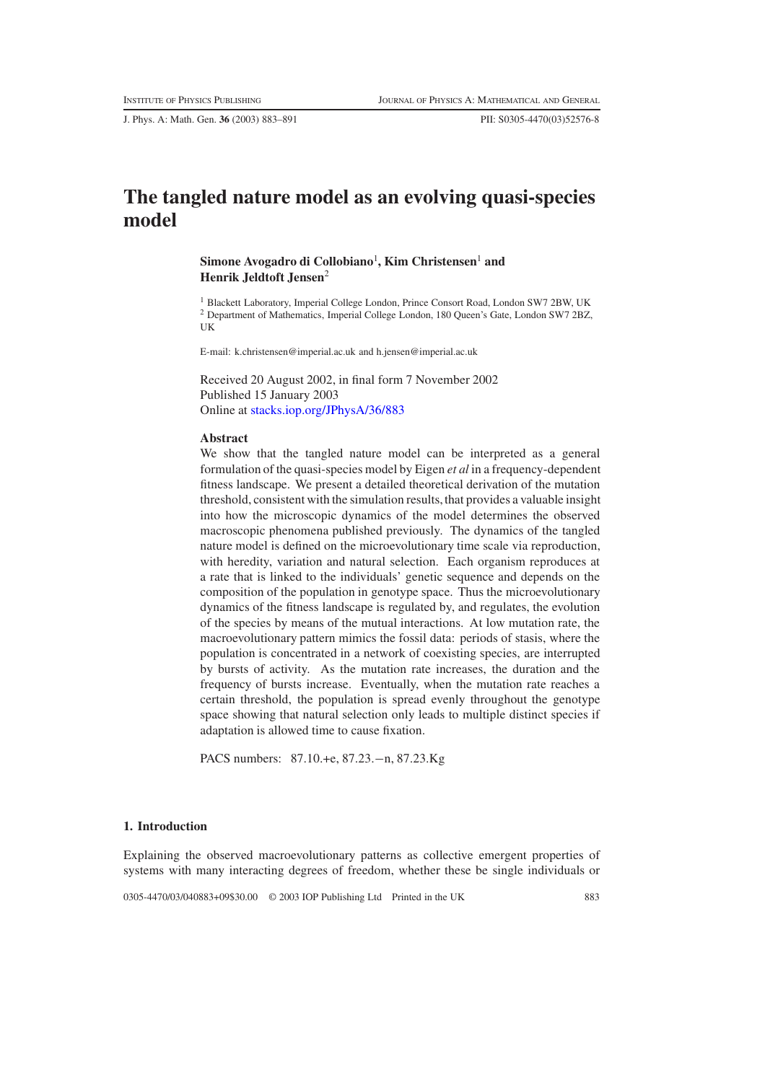J. Phys. A: Math. Gen. **36** (2003) 883–891 PII: S0305-4470(03)52576-8

# **The tangled nature model as an evolving quasi-species model**

# $\boldsymbol{\mathrm{Simone}}$  Avogadro di Collobiano $^1$ , Kim Christensen $^1$  and **Henrik Jeldtoft Jensen**<sup>2</sup>

<sup>1</sup> Blackett Laboratory, Imperial College London, Prince Consort Road, London SW7 2BW, UK <sup>2</sup> Department of Mathematics, Imperial College London, 180 Queen's Gate, London SW7 2BZ, UK

E-mail: k.christensen@imperial.ac.uk and h.jensen@imperial.ac.uk

Received 20 August 2002, in final form 7 November 2002 Published 15 January 2003 Online at [stacks.iop.org/JPhysA/36/883](http://stacks.iop.org/ja/36/883)

## **Abstract**

We show that the tangled nature model can be interpreted as a general formulation of the quasi-species model by Eigen *et al* in a frequency-dependent fitness landscape. We present a detailed theoretical derivation of the mutation threshold, consistent with the simulation results, that provides a valuable insight into how the microscopic dynamics of the model determines the observed macroscopic phenomena published previously. The dynamics of the tangled nature model is defined on the microevolutionary time scale via reproduction, with heredity, variation and natural selection. Each organism reproduces at a rate that is linked to the individuals' genetic sequence and depends on the composition of the population in genotype space. Thus the microevolutionary dynamics of the fitness landscape is regulated by, and regulates, the evolution of the species by means of the mutual interactions. At low mutation rate, the macroevolutionary pattern mimics the fossil data: periods of stasis, where the population is concentrated in a network of coexisting species, are interrupted by bursts of activity. As the mutation rate increases, the duration and the frequency of bursts increase. Eventually, when the mutation rate reaches a certain threshold, the population is spread evenly throughout the genotype space showing that natural selection only leads to multiple distinct species if adaptation is allowed time to cause fixation.

PACS numbers: 87.10.+e, 87.23.−n, 87.23.Kg

# **1. Introduction**

Explaining the observed macroevolutionary patterns as collective emergent properties of systems with many interacting degrees of freedom, whether these be single individuals or

0305-4470/03/040883+09\$30.00 © 2003 IOP Publishing Ltd Printed in the UK 883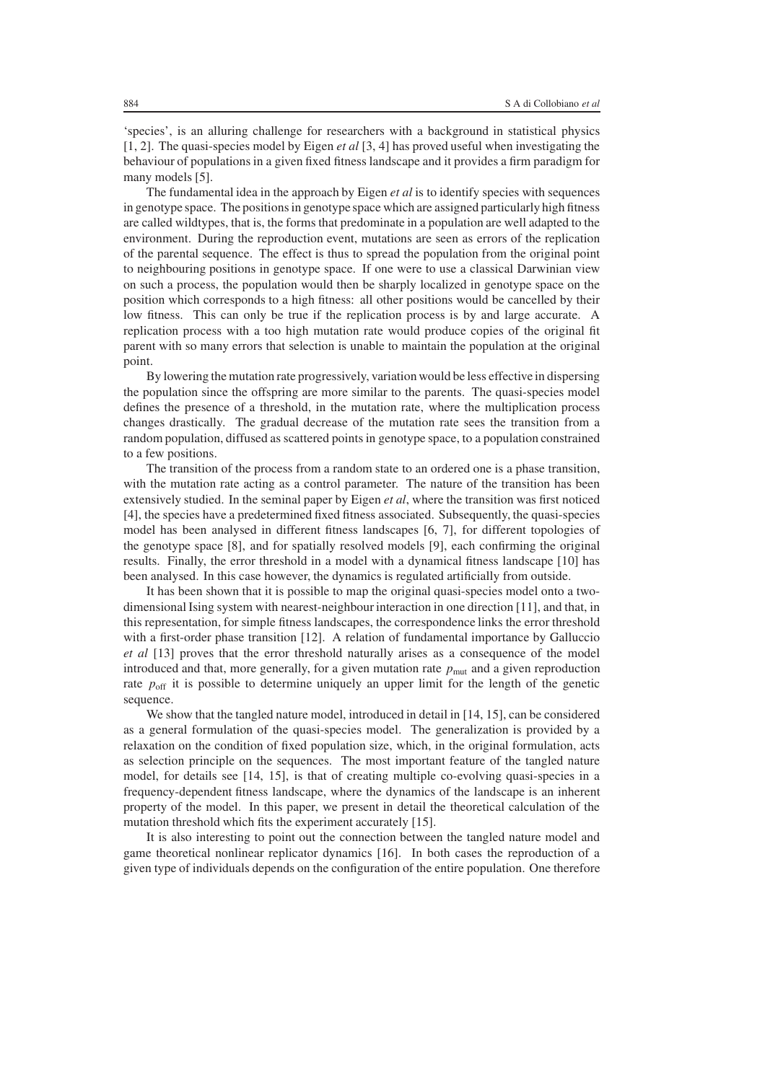'species', is an alluring challenge for researchers with a background in statistical physics [1, 2]. The quasi-species model by Eigen *et al* [3, 4] has proved useful when investigating the behaviour of populations in a given fixed fitness landscape and it provides a firm paradigm for many models [5].

The fundamental idea in the approach by Eigen *et al* is to identify species with sequences in genotype space. The positions in genotype space which are assigned particularly high fitness are called wildtypes, that is, the forms that predominate in a population are well adapted to the environment. During the reproduction event, mutations are seen as errors of the replication of the parental sequence. The effect is thus to spread the population from the original point to neighbouring positions in genotype space. If one were to use a classical Darwinian view on such a process, the population would then be sharply localized in genotype space on the position which corresponds to a high fitness: all other positions would be cancelled by their low fitness. This can only be true if the replication process is by and large accurate. A replication process with a too high mutation rate would produce copies of the original fit parent with so many errors that selection is unable to maintain the population at the original point.

By lowering the mutation rate progressively, variation would be less effective in dispersing the population since the offspring are more similar to the parents. The quasi-species model defines the presence of a threshold, in the mutation rate, where the multiplication process changes drastically. The gradual decrease of the mutation rate sees the transition from a random population, diffused as scattered points in genotype space, to a population constrained to a few positions.

The transition of the process from a random state to an ordered one is a phase transition, with the mutation rate acting as a control parameter. The nature of the transition has been extensively studied. In the seminal paper by Eigen *et al*, where the transition was first noticed [4], the species have a predetermined fixed fitness associated. Subsequently, the quasi-species model has been analysed in different fitness landscapes [6, 7], for different topologies of the genotype space [8], and for spatially resolved models [9], each confirming the original results. Finally, the error threshold in a model with a dynamical fitness landscape [10] has been analysed. In this case however, the dynamics is regulated artificially from outside.

It has been shown that it is possible to map the original quasi-species model onto a twodimensional Ising system with nearest-neighbour interaction in one direction [11], and that, in this representation, for simple fitness landscapes, the correspondence links the error threshold with a first-order phase transition [12]. A relation of fundamental importance by Galluccio *et al* [13] proves that the error threshold naturally arises as a consequence of the model introduced and that, more generally, for a given mutation rate  $p<sub>mut</sub>$  and a given reproduction rate  $p<sub>off</sub>$  it is possible to determine uniquely an upper limit for the length of the genetic sequence.

We show that the tangled nature model, introduced in detail in [14, 15], can be considered as a general formulation of the quasi-species model. The generalization is provided by a relaxation on the condition of fixed population size, which, in the original formulation, acts as selection principle on the sequences. The most important feature of the tangled nature model, for details see [14, 15], is that of creating multiple co-evolving quasi-species in a frequency-dependent fitness landscape, where the dynamics of the landscape is an inherent property of the model. In this paper, we present in detail the theoretical calculation of the mutation threshold which fits the experiment accurately [15].

It is also interesting to point out the connection between the tangled nature model and game theoretical nonlinear replicator dynamics [16]. In both cases the reproduction of a given type of individuals depends on the configuration of the entire population. One therefore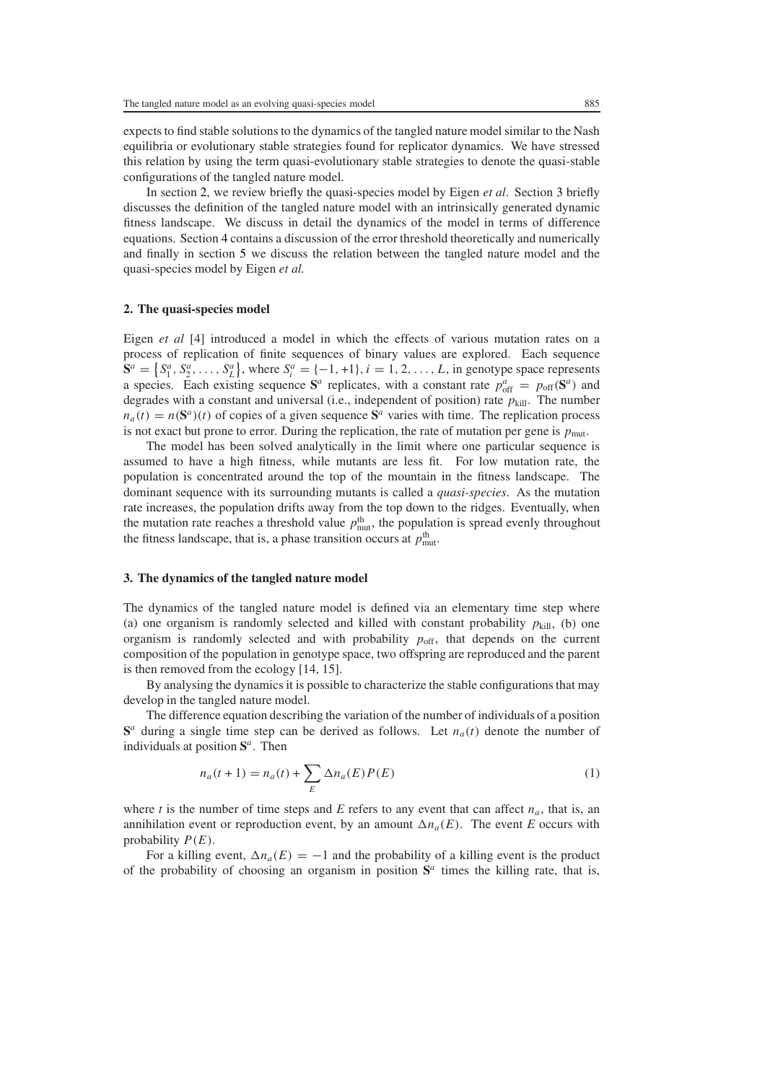expects to find stable solutions to the dynamics of the tangled nature model similar to the Nash equilibria or evolutionary stable strategies found for replicator dynamics. We have stressed this relation by using the term quasi-evolutionary stable strategies to denote the quasi-stable configurations of the tangled nature model.

In section [2,](#page-2-0) we review briefly the quasi-species model by Eigen *et al*. Section [3](#page-2-1) briefly discusses the definition of the tangled nature model with an intrinsically generated dynamic fitness landscape. We discuss in detail the dynamics of the model in terms of difference equations. Section [4](#page-4-0) contains a discussion of the error threshold theoretically and numerically and finally in section [5](#page-7-0) we discuss the relation between the tangled nature model and the quasi-species model by Eigen *et al.*

#### <span id="page-2-0"></span>**2. The quasi-species model**

Eigen *et al* [4] introduced a model in which the effects of various mutation rates on a process of replication of finite sequences of binary values are explored. Each sequence  $S^a = \{S^a_1, S^a_2, \ldots, S^a_L\}$ , where  $S^a_i = \{-1, +1\}, i = 1, 2, \ldots, L$ , in genotype space represents a species. Each existing sequence  $S^a$  replicates, with a constant rate  $p_{off}^a = p_{off}(S^a)$  and degrades with a constant and universal (i.e., independent of position) rate  $p_{\text{kill}}$ . The number  $n_a(t) = n(\mathbf{S}^a)(t)$  of copies of a given sequence  $\mathbf{S}^a$  varies with time. The replication process is not exact but prone to error. During the replication, the rate of mutation per gene is  $p_{\text{mut}}$ .

The model has been solved analytically in the limit where one particular sequence is assumed to have a high fitness, while mutants are less fit. For low mutation rate, the population is concentrated around the top of the mountain in the fitness landscape. The dominant sequence with its surrounding mutants is called a *quasi-species*. As the mutation rate increases, the population drifts away from the top down to the ridges. Eventually, when the mutation rate reaches a threshold value  $p_{\text{mut}}^{\text{th}}$ , the population is spread evenly throughout the fitness landscape, that is, a phase transition occurs at  $p_{\text{mut}}^{\text{th}}$ .

#### <span id="page-2-1"></span>**3. The dynamics of the tangled nature model**

The dynamics of the tangled nature model is defined via an elementary time step where (a) one organism is randomly selected and killed with constant probability  $p_{\text{kill}}$ , (b) one organism is randomly selected and with probability  $p_{\text{off}}$ , that depends on the current composition of the population in genotype space, two offspring are reproduced and the parent is then removed from the ecology [14, 15].

By analysing the dynamics it is possible to characterize the stable configurations that may develop in the tangled nature model.

The difference equation describing the variation of the number of individuals of a position  $S^a$  during a single time step can be derived as follows. Let  $n_a(t)$  denote the number of individuals at position **S***<sup>a</sup>*. Then

$$
n_a(t+1) = n_a(t) + \sum_E \Delta n_a(E) P(E)
$$
\n<sup>(1)</sup>

where *t* is the number of time steps and *E* refers to any event that can affect  $n_a$ , that is, an annihilation event or reproduction event, by an amount  $\Delta n_a(E)$ . The event *E* occurs with probability *P (E)*.

For a killing event,  $\Delta n_a(E) = -1$  and the probability of a killing event is the product of the probability of choosing an organism in position  $S^a$  times the killing rate, that is,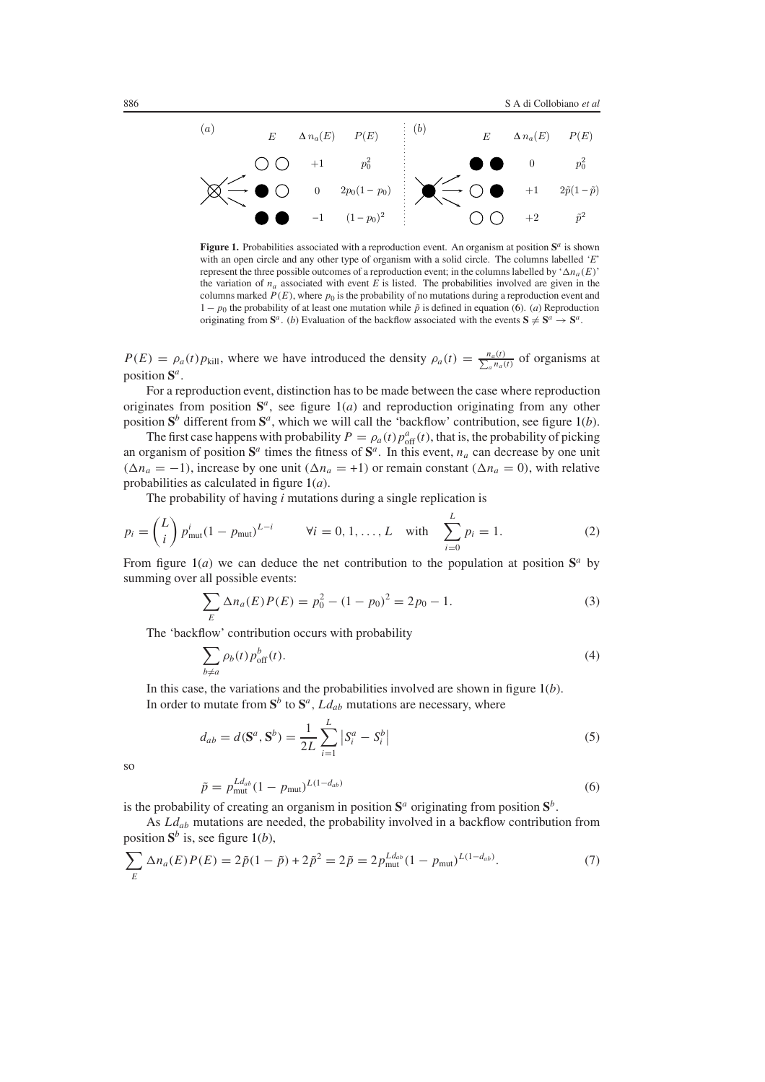

<span id="page-3-1"></span>**Figure 1.** Probabilities associated with a reproduction event. An organism at position **S***<sup>a</sup>* is shown with an open circle and any other type of organism with a solid circle. The columns labelled '*E*' represent the three possible outcomes of a reproduction event; in the columns labelled by ' $\Delta n_a(E)$ ' the variation of *na* associated with event *E* is listed. The probabilities involved are given in the columns marked  $P(E)$ , where  $p_0$  is the probability of no mutations during a reproduction event and  $1-p_0$  the probability of at least one mutation while  $\tilde{p}$  is defined in equation [\(6\)](#page-3-0). (*a*) Reproduction originating from  $S^a$ . (*b*) Evaluation of the backflow associated with the events  $S \neq S^a \rightarrow S^a$ .

 $P(E) = \rho_a(t)p_{\text{kill}}$ , where we have introduced the density  $\rho_a(t) = \frac{n_a(t)}{\sum_a n_a(t)}$  of organisms at position **S***a*.

For a reproduction event, distinction has to be made between the case where reproduction originates from position  $S^a$ , see figure  $1(a)$  $1(a)$  and reproduction originating from any other position  $S^b$  different from  $S^a$ , which we will call the 'backflow' contribution, see figure [1\(](#page-3-1)*b*).

The first case happens with probability  $P = \rho_a(t) p_{off}^a(t)$ , that is, the probability of picking an organism of position  $S^a$  times the fitness of  $S^a$ . In this event,  $n_a$  can decrease by one unit  $(\Delta n_a = -1)$ , increase by one unit  $(\Delta n_a = +1)$  or remain constant  $(\Delta n_a = 0)$ , with relative probabilities as calculated in figure [1\(](#page-3-1)*a*).

The probability of having *i* mutations during a single replication is

$$
p_i = \binom{L}{i} p_{\text{mut}}^i (1 - p_{\text{mut}})^{L - i} \qquad \forall i = 0, 1, ..., L \quad \text{with} \quad \sum_{i=0}^L p_i = 1. \tag{2}
$$

From figure [1\(](#page-3-1)*a*) we can deduce the net contribution to the population at position  $S^a$  by summing over all possible events:

$$
\sum_{E} \Delta n_a(E) P(E) = p_0^2 - (1 - p_0)^2 = 2p_0 - 1.
$$
 (3)

The 'backflow' contribution occurs with probability

$$
\sum_{b \neq a} \rho_b(t) p_{\text{off}}^b(t). \tag{4}
$$

In this case, the variations and the probabilities involved are shown in figure [1\(](#page-3-1)*b*). In order to mutate from  $S^b$  to  $S^a$ ,  $Ld_{ab}$  mutations are necessary, where

$$
d_{ab} = d(\mathbf{S}^a, \mathbf{S}^b) = \frac{1}{2L} \sum_{i=1}^L |S_i^a - S_i^b|
$$
\n(5)

<span id="page-3-0"></span>so

$$
\tilde{p} = p_{\text{mut}}^{Ld_{ab}} (1 - p_{\text{mut}})^{L(1 - d_{ab})} \tag{6}
$$

is the probability of creating an organism in position  $S^a$  originating from position  $S^b$ .

As *Ld<sub>ab</sub>* mutations are needed, the probability involved in a backflow contribution from position  $S^b$  is, see figure [1\(](#page-3-1)*b*),

$$
\sum_{E} \Delta n_a(E) P(E) = 2\tilde{p}(1 - \tilde{p}) + 2\tilde{p}^2 = 2\tilde{p} = 2p_{\text{mut}}^{Ld_{ab}}(1 - p_{\text{mut}})^{L(1 - d_{ab})}.
$$
\n(7)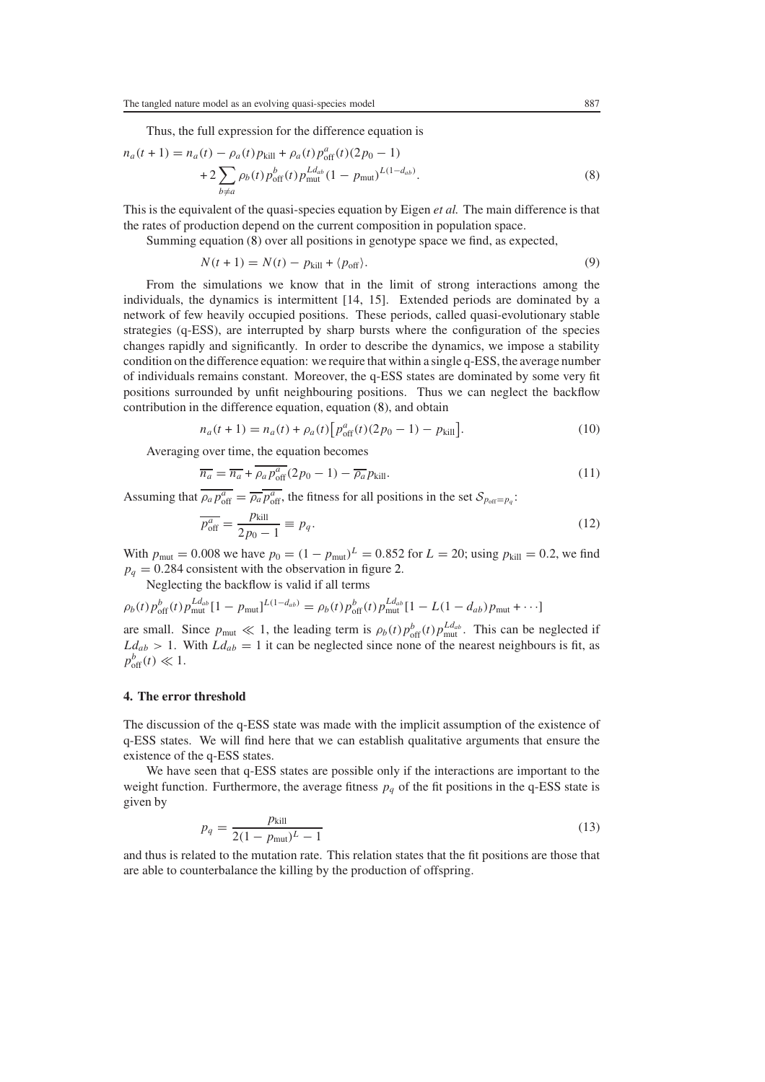<span id="page-4-1"></span> $n_a(t)$  +

Thus, the full expression for the difference equation is

$$
P(1) = n_a(t) - \rho_a(t) p_{\text{kill}} + \rho_a(t) p_{\text{off}}^a(t) (2p_0 - 1)
$$
  
+2
$$
\sum_{b \neq a} \rho_b(t) p_{\text{off}}^b(t) p_{\text{mut}}^{Ld_{ab}} (1 - p_{\text{mut}})^{L(1 - d_{ab})}.
$$
 (8)

This is the equivalent of the quasi-species equation by Eigen *et al.* The main difference is that the rates of production depend on the current composition in population space.

Summing equation [\(8\)](#page-4-1) over all positions in genotype space we find, as expected,

$$
N(t+1) = N(t) - p_{\text{kill}} + \langle p_{\text{off}} \rangle. \tag{9}
$$

From the simulations we know that in the limit of strong interactions among the individuals, the dynamics is intermittent [14, 15]. Extended periods are dominated by a network of few heavily occupied positions. These periods, called quasi-evolutionary stable strategies (q-ESS), are interrupted by sharp bursts where the configuration of the species changes rapidly and significantly. In order to describe the dynamics, we impose a stability condition on the difference equation: we require that within a single q-ESS, the average number of individuals remains constant. Moreover, the q-ESS states are dominated by some very fit positions surrounded by unfit neighbouring positions. Thus we can neglect the backflow contribution in the difference equation, equation [\(8\)](#page-4-1), and obtain

$$
n_a(t+1) = n_a(t) + \rho_a(t) \Big[ p_{\text{off}}^a(t) (2p_0 - 1) - p_{\text{kill}} \Big]. \tag{10}
$$

Averaging over time, the equation becomes

$$
\overline{n_a} = \overline{n_a} + \overline{\rho_a p_{\rm off}^a} (2p_0 - 1) - \overline{\rho_a} p_{\rm kill}.
$$
\n(11)

Assuming that  $\overline{\rho_a p_{off}^a} = \overline{\rho_a p_{off}^a}$ , the fitness for all positions in the set  $S_{p_{off}=p_q}$ :

$$
\overline{p_{\text{off}}^a} = \frac{p_{\text{kill}}}{2p_0 - 1} \equiv p_q. \tag{12}
$$

With  $p_{\text{mut}} = 0.008$  we have  $p_0 = (1 - p_{\text{mut}})^L = 0.852$  for  $L = 20$ ; using  $p_{\text{kill}} = 0.2$ , we find  $p_q = 0.284$  consistent with the observation in figure [2.](#page-5-0)

Neglecting the backflow is valid if all terms

$$
\rho_b(t) p_{\text{off}}^b(t) p_{\text{mut}}^{Ld_{ab}} [1 - p_{\text{mut}}]^{L(1 - d_{ab})} = \rho_b(t) p_{\text{off}}^b(t) p_{\text{mut}}^{Ld_{ab}} [1 - L(1 - d_{ab}) p_{\text{mut}} + \cdots]
$$

are small. Since  $p_{\text{mut}} \ll 1$ , the leading term is  $\rho_b(t)p_{\text{off}}^{b}(t)p_{\text{mut}}^{Ld_{ab}}$ . This can be neglected if  $Ld_{ab} > 1$ . With  $Ld_{ab} = 1$  it can be neglected since none of the nearest neighbours is fit, as  $p_{\text{off}}^b(t) \ll 1.$ 

## <span id="page-4-0"></span>**4. The error threshold**

The discussion of the q-ESS state was made with the implicit assumption of the existence of q-ESS states. We will find here that we can establish qualitative arguments that ensure the existence of the q-ESS states.

<span id="page-4-2"></span>We have seen that q-ESS states are possible only if the interactions are important to the weight function. Furthermore, the average fitness  $p_q$  of the fit positions in the q-ESS state is given by

$$
p_q = \frac{p_{\text{kill}}}{2(1 - p_{\text{mut}})^L - 1} \tag{13}
$$

and thus is related to the mutation rate. This relation states that the fit positions are those that are able to counterbalance the killing by the production of offspring.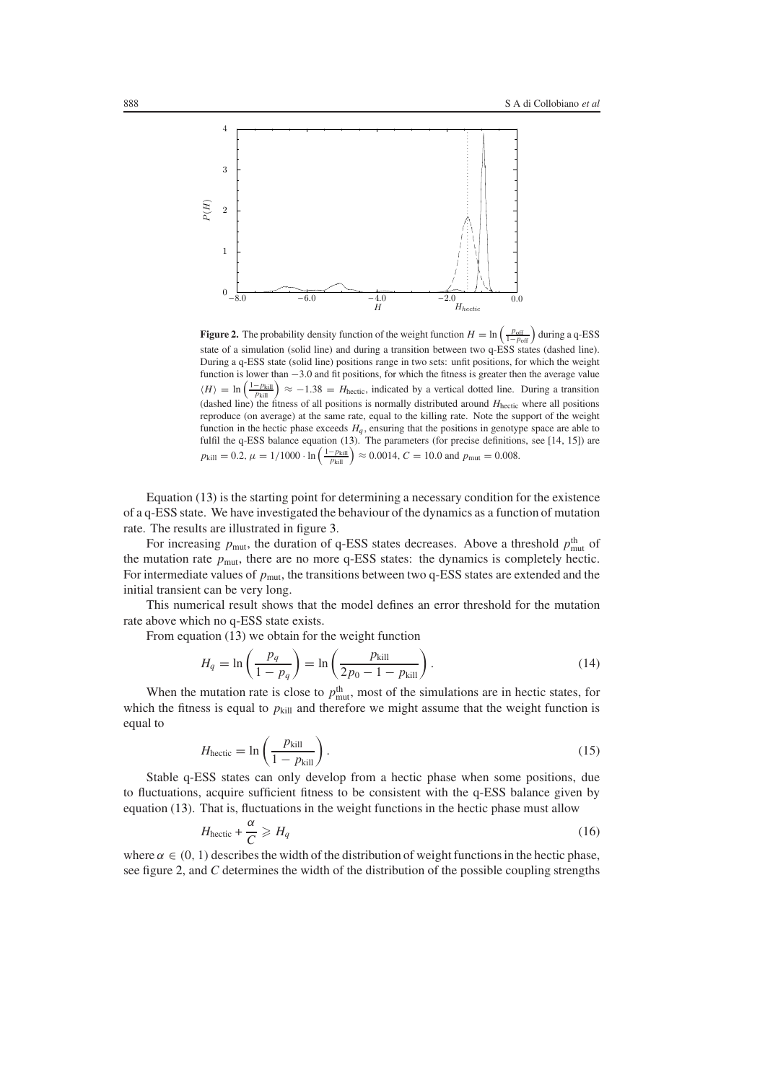

<span id="page-5-0"></span>**Figure 2.** The probability density function of the weight function  $H = \ln\left(\frac{p_{off}}{1-p_{off}}\right)$  during a q-ESS state of a simulation (solid line) and during a transition between two q-ESS states (dashed line). During a q-ESS state (solid line) positions range in two sets: unfit positions, for which the weight function is lower than −3*.*0 and fit positions, for which the fitness is greater then the average value  $\langle H \rangle = \ln \left( \frac{1 - p_{\text{kill}}}{p_{\text{kill}}} \right) \approx -1.38 = H_{\text{hectic}}$ , indicated by a vertical dotted line. During a transition (dashed line) the fitness of all positions is normally distributed around  $H<sub>hectic</sub>$  where all positions reproduce (on average) at the same rate, equal to the killing rate. Note the support of the weight function in the hectic phase exceeds  $H_q$ , ensuring that the positions in genotype space are able to fulfil the q-ESS balance equation [\(13\)](#page-4-2). The parameters (for precise definitions, see [14, 15]) are  $p_{\text{kill}} = 0.2$ ,  $\mu = 1/1000 \cdot \ln \left( \frac{1 - p_{\text{kill}}}{p_{\text{kill}}} \right) \approx 0.0014$ ,  $C = 10.0$  and  $p_{\text{mut}} = 0.008$ .

Equation [\(13\)](#page-4-2) is the starting point for determining a necessary condition for the existence of a q-ESS state. We have investigated the behaviour of the dynamics as a function of mutation rate. The results are illustrated in figure [3.](#page-6-0)

For increasing  $p_{\text{mut}}$ , the duration of q-ESS states decreases. Above a threshold  $p_{\text{mut}}^{\text{th}}$  of the mutation rate *p*mut, there are no more q-ESS states: the dynamics is completely hectic. For intermediate values of  $p_{\text{mut}}$ , the transitions between two q-ESS states are extended and the initial transient can be very long.

This numerical result shows that the model defines an error threshold for the mutation rate above which no q-ESS state exists.

<span id="page-5-1"></span>From equation [\(13\)](#page-4-2) we obtain for the weight function

$$
H_q = \ln\left(\frac{p_q}{1 - p_q}\right) = \ln\left(\frac{p_{\text{kill}}}{2p_0 - 1 - p_{\text{kill}}}\right). \tag{14}
$$

When the mutation rate is close to  $p_{\text{mut}}^{\text{th}}$ , most of the simulations are in hectic states, for which the fitness is equal to  $p_{\text{kill}}$  and therefore we might assume that the weight function is equal to

$$
H_{\text{hectic}} = \ln\left(\frac{p_{\text{kill}}}{1 - p_{\text{kill}}}\right). \tag{15}
$$

<span id="page-5-2"></span>Stable q-ESS states can only develop from a hectic phase when some positions, due to fluctuations, acquire sufficient fitness to be consistent with the q-ESS balance given by equation [\(13\)](#page-4-2). That is, fluctuations in the weight functions in the hectic phase must allow

$$
H_{\text{hectic}} + \frac{\alpha}{C} \geqslant H_q \tag{16}
$$

where  $\alpha \in (0, 1)$  describes the width of the distribution of weight functions in the hectic phase, see figure [2,](#page-5-0) and *C* determines the width of the distribution of the possible coupling strengths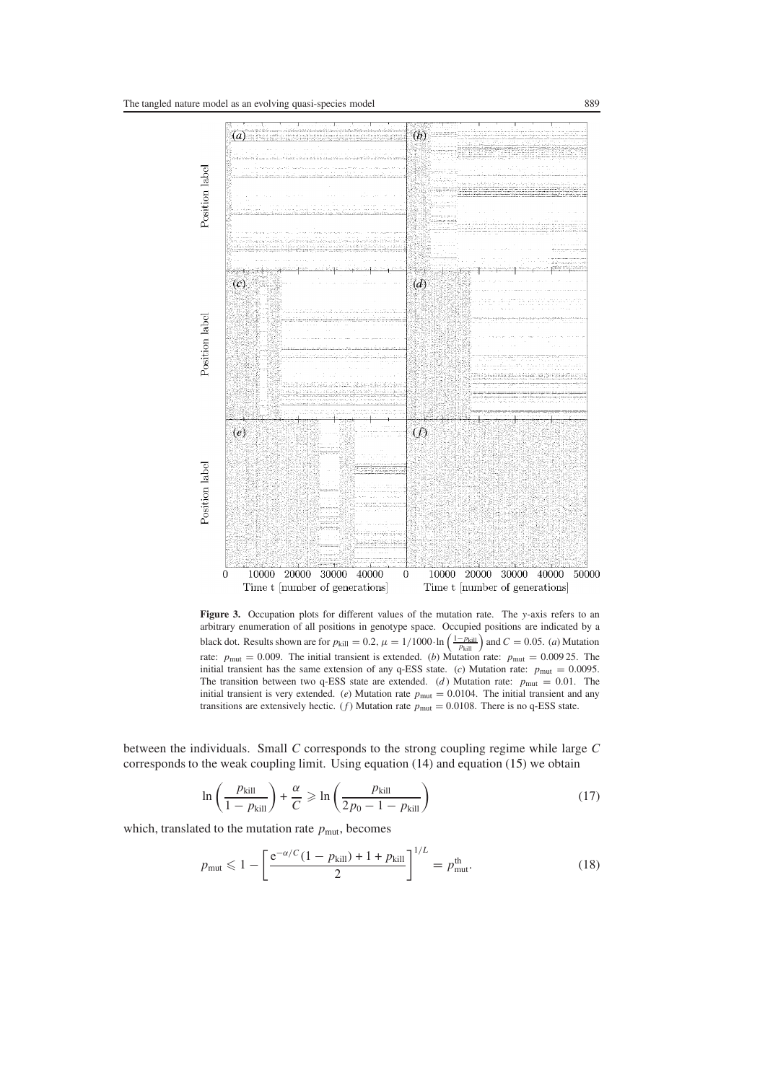

<span id="page-6-0"></span>**Figure 3.** Occupation plots for different values of the mutation rate. The *y*-axis refers to an arbitrary enumeration of all positions in genotype space. Occupied positions are indicated by a black dot. Results shown are for  $p_{\text{kill}} = 0.2$ ,  $\mu = 1/1000 \cdot \ln \left( \frac{1-p_{\text{kill}}}{p_{\text{kill}}} \right)$  and  $C = 0.05$ . (*a*) Mutation rate:  $p_{\text{mut}} = 0.009$ . The initial transient is extended. (*b*) Mutation rate:  $p_{\text{mut}} = 0.00925$ . The initial transient has the same extension of any q-ESS state. (*c*) Mutation rate:  $p_{\text{mut}} = 0.0095$ . The transition between two q-ESS state are extended. (*d*) Mutation rate:  $p_{\text{mut}} = 0.01$ . The initial transient is very extended. (*e*) Mutation rate  $p_{\text{mut}} = 0.0104$ . The initial transient and any transitions are extensively hectic. (*f*) Mutation rate  $p_{\text{mut}} = 0.0108$ . There is no q-ESS state.

between the individuals. Small *C* corresponds to the strong coupling regime while large *C* corresponds to the weak coupling limit. Using equation [\(14\)](#page-5-1) and equation [\(15\)](#page-5-2) we obtain

$$
\ln\left(\frac{p_{\text{kill}}}{1 - p_{\text{kill}}}\right) + \frac{\alpha}{C} \ge \ln\left(\frac{p_{\text{kill}}}{2p_0 - 1 - p_{\text{kill}}}\right)
$$
 (17)

<span id="page-6-1"></span>which, translated to the mutation rate  $p_{\text{mut}}$ , becomes

$$
p_{\text{mut}} \leq 1 - \left[ \frac{e^{-\alpha/C} (1 - p_{\text{kill}}) + 1 + p_{\text{kill}}}{2} \right]^{1/L} = p_{\text{mut}}^{\text{th}}.
$$
 (18)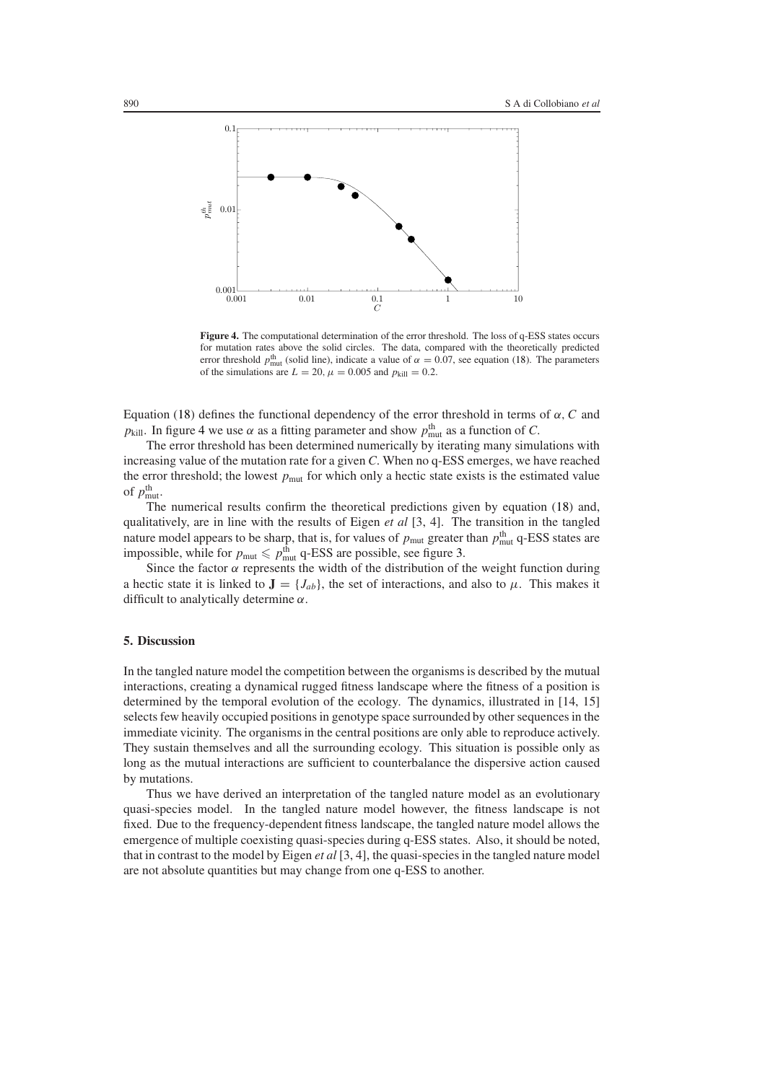

<span id="page-7-1"></span>**Figure 4.** The computational determination of the error threshold. The loss of q-ESS states occurs for mutation rates above the solid circles. The data, compared with the theoretically predicted error threshold  $p_{\text{mut}}^{\text{th}}$  (solid line), indicate a value of  $\alpha = 0.07$ , see equation [\(18\)](#page-6-1). The parameters of the simulations are  $L = 20$ ,  $\mu = 0.005$  and  $p_{\text{kill}} = 0.2$ .

Equation [\(18\)](#page-6-1) defines the functional dependency of the error threshold in terms of *α, C* and *p*<sub>kill</sub>. In figure [4](#page-7-1) we use  $\alpha$  as a fitting parameter and show  $p_{\text{mut}}^{\text{th}}$  as a function of *C*.

The error threshold has been determined numerically by iterating many simulations with increasing value of the mutation rate for a given *C*. When no q-ESS emerges, we have reached the error threshold; the lowest  $p<sub>mut</sub>$  for which only a hectic state exists is the estimated value of  $p_{\text{mut}}^{\text{th}}$ .

The numerical results confirm the theoretical predictions given by equation [\(18\)](#page-6-1) and, qualitatively, are in line with the results of Eigen *et al* [3, 4]. The transition in the tangled nature model appears to be sharp, that is, for values of  $p_{\text{mut}}$  greater than  $p_{\text{mut}}^{\text{th}}$  q-ESS states are impossible, while for  $p_{\text{mut}} \leq p_{\text{mut}}^{\text{th}}$  q-ESS are possible, see figure [3.](#page-6-0)

Since the factor  $\alpha$  represents the width of the distribution of the weight function during a hectic state it is linked to  $\mathbf{J} = \{J_{ab}\}\,$ , the set of interactions, and also to  $\mu$ . This makes it difficult to analytically determine *α*.

## <span id="page-7-0"></span>**5. Discussion**

In the tangled nature model the competition between the organisms is described by the mutual interactions, creating a dynamical rugged fitness landscape where the fitness of a position is determined by the temporal evolution of the ecology. The dynamics, illustrated in [14, 15] selects few heavily occupied positions in genotype space surrounded by other sequences in the immediate vicinity. The organisms in the central positions are only able to reproduce actively. They sustain themselves and all the surrounding ecology. This situation is possible only as long as the mutual interactions are sufficient to counterbalance the dispersive action caused by mutations.

Thus we have derived an interpretation of the tangled nature model as an evolutionary quasi-species model. In the tangled nature model however, the fitness landscape is not fixed. Due to the frequency-dependent fitness landscape, the tangled nature model allows the emergence of multiple coexisting quasi-species during q-ESS states. Also, it should be noted, that in contrast to the model by Eigen *et al* [3, 4], the quasi-species in the tangled nature model are not absolute quantities but may change from one q-ESS to another.